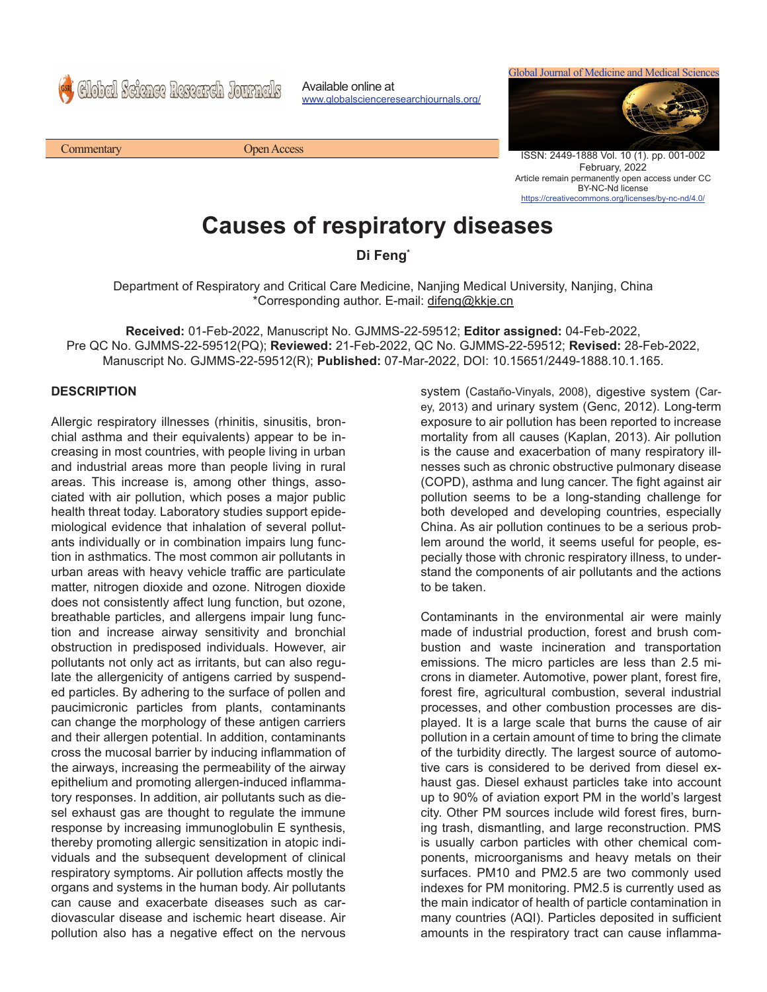Global Science Research Journals

Commentary Open Access

Available online at www.globalscienceresearchjournals.org/ Global Journal of Medicine and Medical Sciences



ISSN: 2449-1888 Vol. 10 (1). pp. 001-002 February, 2022 Article remain permanently open access under CC BY-NC-Nd license https://creativecommons.org/licenses/by-nc-nd/4.0/

## **Causes of respiratory diseases**

## **Di Feng\***

Department of Respiratory and Critical Care Medicine, Nanjing Medical University, Nanjing, China \*Corresponding author. E-mail: difeng@kkje.cn

**Received:** 01-Feb-2022, Manuscript No. GJMMS-22-59512; **Editor assigned:** 04-Feb-2022, Pre QC No. GJMMS-22-59512(PQ); **Reviewed:** 21-Feb-2022, QC No. GJMMS-22-59512; **Revised:** 28-Feb-2022, Manuscript No. GJMMS-22-59512(R); **Published:** 07-Mar-2022, DOI: 10.15651/2449-1888.10.1.165.

## **DESCRIPTION**

Allergic respiratory illnesses (rhinitis, sinusitis, bronchial asthma and their equivalents) appear to be increasing in most countries, with people living in urban and industrial areas more than people living in rural areas. This increase is, among other things, associated with air pollution, which poses a major public health threat today. Laboratory studies support epidemiological evidence that inhalation of several pollutants individually or in combination impairs lung function in asthmatics. The most common air pollutants in urban areas with heavy vehicle traffic are particulate matter, nitrogen dioxide and ozone. Nitrogen dioxide does not consistently affect lung function, but ozone, breathable particles, and allergens impair lung function and increase airway sensitivity and bronchial obstruction in predisposed individuals. However, air pollutants not only act as irritants, but can also regulate the allergenicity of antigens carried by suspended particles. By adhering to the surface of pollen and paucimicronic particles from plants, contaminants can change the morphology of these antigen carriers and their allergen potential. In addition, contaminants cross the mucosal barrier by inducing inflammation of the airways, increasing the permeability of the airway epithelium and promoting allergen-induced inflammatory responses. In addition, air pollutants such as diesel exhaust gas are thought to regulate the immune response by increasing immunoglobulin E synthesis, thereby promoting allergic sensitization in atopic individuals and the subsequent development of clinical respiratory symptoms. Air pollution affects mostly the organs and systems in the human body. Air pollutants can cause and exacerbate diseases such as cardiovascular disease and ischemic heart disease. Air pollution also has a negative effect on the nervous

system (Castaño-Vinyals, 2008), digestive system (Carey, 2013) and urinary system (Genc, 2012). Long-term exposure to air pollution has been reported to increase mortality from all causes (Kaplan, 2013). Air pollution is the cause and exacerbation of many respiratory illnesses such as chronic obstructive pulmonary disease (COPD), asthma and lung cancer. The fight against air pollution seems to be a long-standing challenge for both developed and developing countries, especially China. As air pollution continues to be a serious problem around the world, it seems useful for people, especially those with chronic respiratory illness, to understand the components of air pollutants and the actions to be taken.

Contaminants in the environmental air were mainly made of industrial production, forest and brush combustion and waste incineration and transportation emissions. The micro particles are less than 2.5 microns in diameter. Automotive, power plant, forest fire, forest fire, agricultural combustion, several industrial processes, and other combustion processes are displayed. It is a large scale that burns the cause of air pollution in a certain amount of time to bring the climate of the turbidity directly. The largest source of automotive cars is considered to be derived from diesel exhaust gas. Diesel exhaust particles take into account up to 90% of aviation export PM in the world's largest city. Other PM sources include wild forest fires, burning trash, dismantling, and large reconstruction. PMS is usually carbon particles with other chemical components, microorganisms and heavy metals on their surfaces. PM10 and PM2.5 are two commonly used indexes for PM monitoring. PM2.5 is currently used as the main indicator of health of particle contamination in many countries (AQI). Particles deposited in sufficient amounts in the respiratory tract can cause inflamma-